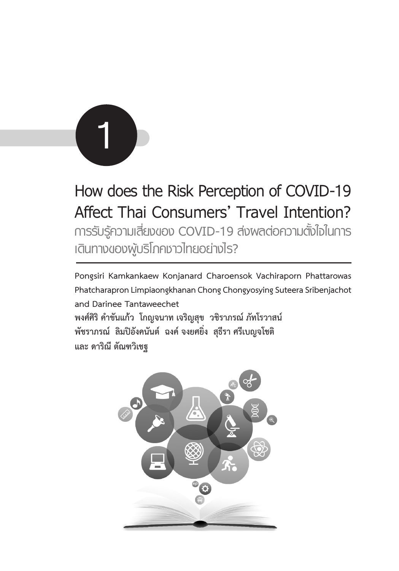

# **How does the Risk Perception of COVID-19 Affect Thai Consumers' Travel Intention? การรับรู้ความเสี่ยงของ COVID-19 ส่งผลต่อความตั้งใจในการ เดินทางของผู้บริโภคชาวไทยอย่างไร?**

**Pongsiri Kamkankaew Konjanard Charoensok Vachiraporn Phattarowas Phatcharapron Limpiaongkhanan Chong Chongyosying Suteera Sribenjachot and Darinee Tantaweechet พงศ์ศิริ คำ�ขันแก้ว โกญจนาท เจริญสุข วชิราภรณ์ ภัทโรวาสน์ พัชราภรณ์ ลิมปิอังคนันต์ ฉงค์ จงยศยิ่ง สุธีรา ศรีเบญจโชติ และ ดาริณี ตัณฑวิเชฐ**

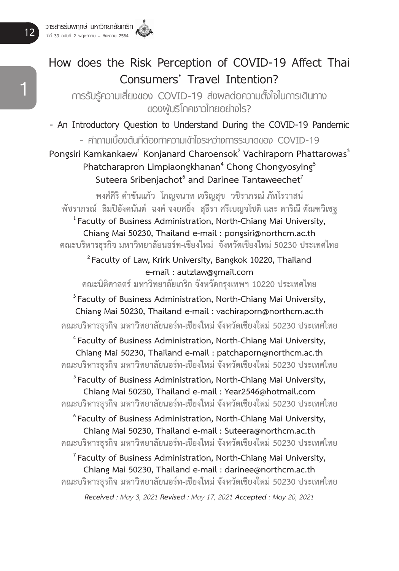## **How does the Risk Perception of COVID-19 Affect Thai Consumers' Travel Intention?**

**การรับรู้ความเสี่ยงของ COVID-19 ส่งผลต่อความตั้งใจในการเดินทาง ของผู้บริโภคชาวไทยอย่างไร?**

**- An Introductory Question to Understand During the COVID-19 Pandemic - คำถามเบื้องต้นที่ต้องทำความเข้าใจระหว่างการระบาดของ COVID-19**

Pongsiri Kamkankaew<sup>1</sup> Konjanard Charoensok<sup>2</sup> Vachiraporn Phattarowas<sup>3</sup> **Phatcharapron Limpiaongkhanan4 Chong Chongyosying5** Suteera Sribenjachot<sup>6</sup> and Darinee Tantaweechet<sup>7</sup>

**พงศ์ศิริ คำ�ขันแก้ว โกญจนาท เจริญสุข วชิราภรณ์ ภัทโรวาสน์** <sup>1</sup> Faculty of Business Administration, North-Chiang Mai University, **Chiang Mai 50230, Thailand e-mail : pongsiri@northcm.ac.th คณะบริหารธุรกิจ มหาวิทยาลัยนอร์ท-เชียงใหม่ จังหวัดเชียงใหม่ 50230 ประเทศไทย**

**2 Faculty of Law, Krirk University, Bangkok 10220, Thailand e-mail : autzlaw@gmail.com**

**คณะนิติศาสตร์ มหาวิทยาลัยเกริก จังหวัดกรุงเทพฯ 10220 ประเทศไทย**

**3 Faculty of Business Administration, North-Chiang Mai University, Chiang Mai 50230, Thailand e-mail : vachiraporn@northcm.ac.th คณะบริหารธุรกิจ มหาวิทยาลัยนอร์ท-เชียงใหม่ จังหวัดเชียงใหม่ 50230 ประเทศไทย**

**4 Faculty of Business Administration, North-Chiang Mai University, Chiang Mai 50230, Thailand e-mail : patchaporn@northcm.ac.th คณะบริหารธุรกิจ มหาวิทยาลัยนอร์ท-เชียงใหม่ จังหวัดเชียงใหม่ 50230 ประเทศไทย**

**5 Faculty of Business Administration, North-Chiang Mai University, Chiang Mai 50230, Thailand e-mail : Year2546@hotmail.com คณะบริหารธุรกิจ มหาวิทยาลัยนอร์ท-เชียงใหม่ จังหวัดเชียงใหม่ 50230 ประเทศไทย**

**6 Faculty of Business Administration, North-Chiang Mai University, Chiang Mai 50230, Thailand e-mail : Suteera@northcm.ac.th คณะบริหารธุรกิจ มหาวิทยาลัยนอร์ท-เชียงใหม่ จังหวัดเชียงใหม่ 50230 ประเทศไทย**

**7 Faculty of Business Administration, North-Chiang Mai University, Chiang Mai 50230, Thailand e-mail : darinee@northcm.ac.th คณะบริหารธุรกิจ มหาวิทยาลัยนอร์ท-เชียงใหม่ จังหวัดเชียงใหม่ 50230 ประเทศไทย**

*Received : May 3, 2021 Revised : May 17, 2021 Accepted : May 20, 2021*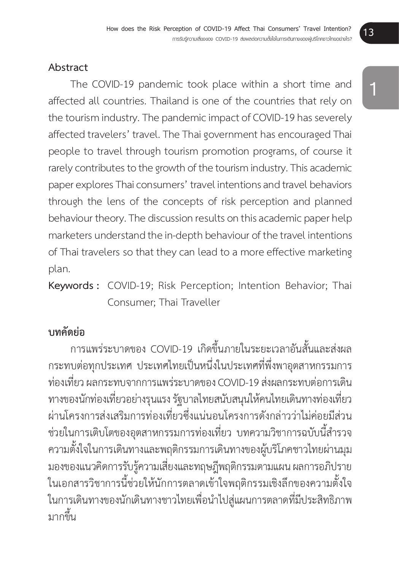#### **Abstract**

The COVID-19 pandemic took place within a short time and affected all countries. Thailand is one of the countries that rely on the tourism industry. The pandemic impact of COVID-19 has severely affected travelers' travel. The Thai government has encouraged Thai people to travel through tourism promotion programs, of course it rarely contributes to the growth of the tourism industry. This academic paper explores Thai consumers' travel intentions and travel behaviors through the lens of the concepts of risk perception and planned behaviour theory. The discussion results on this academic paper help marketers understand the in-depth behaviour of the travel intentions of Thai travelers so that they can lead to a more effective marketing plan.

**Keywords :** COVID-19; Risk Perception; Intention Behavior; Thai Consumer; Thai Traveller

#### **บทคัดย่อ**

้การแพร่ระบาดของ COVID-19 เกิดขึ้นภายในระยะเวลาอันสั้นและส่งผล กระทบต่อทุกประเทศ ประเทศไทยเป็นหนึ่งในประเทศที่พึ่งพาอุตสาหกรรมการ ้ ท่องเที่่ยว ผลกระทบจากการแพร่ระบาดของ COVID-19 ส่งผลกระทบต่อการเดิน ิทางของนักท่องเที่ยวอย่างรนแรง รัฐบาลไทยสนับสนนให้คนไทยเดินทางท่องเที่ยว ผ่านโครงการส่งเสริมการท่องเที่ยวซึ่งแน่นอนโครงการดังกล่าวว่าไม่ค่อยมีส่วน ่ ช่วยในการเติบโตของอุตสาหกรรมการท่องเที่ยว บทความวิชาการฉบับนี้สำรวจ ความตั้้�งใจในการเดิินทางและพฤติิกรรมการเดิินทางของผู้บ้ ริิโภคชาวไทยผ่่านมุุม ิมองของแนวคิดการรับรู้ความเสี่ยงและทฤษฎีพฤติกรรมตามแผน ผลการอภิปราย ในเอกสารวิชาการนี้ช่วยให้นักการตลาดเข้าใจพฤติกรรมเชิงลึกของความตั้งใจ ่ ในการเดินทางของนักเดินทางชาวไทยเพื่อนำไปสู่แผนการตลาดที่มีประสิทธิภาพ ำเวกขึ้น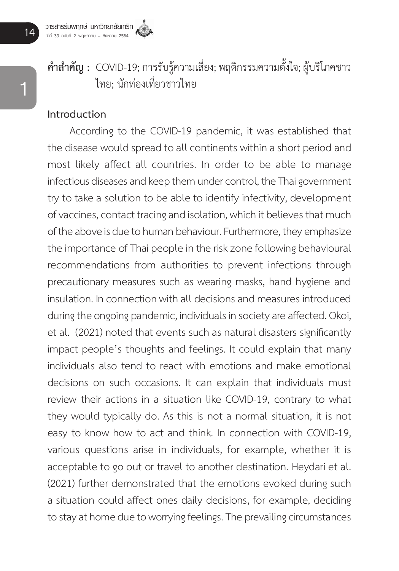# **คำสำคัญ :** COVID-19: การรับร้ความเสี่ยง: พฤติกรรมความตั้งใจ: ผับริโภคชาว ไทย: บักท่องเที่ยวชาวไทย

#### **Introduction**

According to the COVID-19 pandemic, it was established that the disease would spread to all continents within a short period and most likely affect all countries. In order to be able to manage infectious diseases and keep them under control, the Thai government try to take a solution to be able to identify infectivity, development of vaccines, contact tracing and isolation, which it believes that much of the above is due to human behaviour. Furthermore, they emphasize the importance of Thai people in the risk zone following behavioural recommendations from authorities to prevent infections through precautionary measures such as wearing masks, hand hygiene and insulation. In connection with all decisions and measures introduced during the ongoing pandemic, individuals in society are affected. Okoi, et al. (2021) noted that events such as natural disasters significantly impact people's thoughts and feelings. It could explain that many individuals also tend to react with emotions and make emotional decisions on such occasions. It can explain that individuals must review their actions in a situation like COVID-19, contrary to what they would typically do. As this is not a normal situation, it is not easy to know how to act and think. In connection with COVID-19, various questions arise in individuals, for example, whether it is acceptable to go out or travel to another destination. Heydari et al. (2021) further demonstrated that the emotions evoked during such a situation could affect ones daily decisions, for example, deciding to stay at home due to worrying feelings. The prevailing circumstances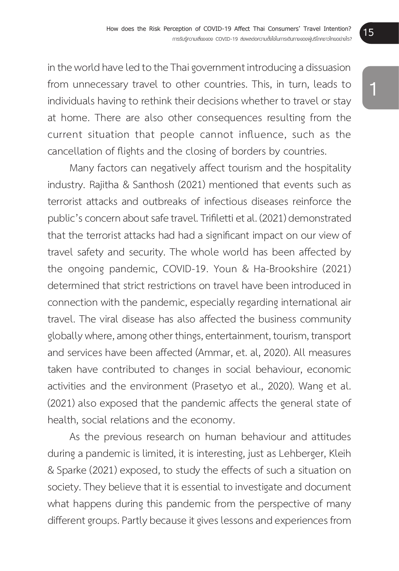in the world have led to the Thai government introducing a dissuasion from unnecessary travel to other countries. This, in turn, leads to individuals having to rethink their decisions whether to travel or stay at home. There are also other consequences resulting from the current situation that people cannot influence, such as the cancellation of flights and the closing of borders by countries.

Many factors can negatively affect tourism and the hospitality industry. Rajitha & Santhosh (2021) mentioned that events such as terrorist attacks and outbreaks of infectious diseases reinforce the public's concern about safe travel. Trifiletti et al. (2021) demonstrated that the terrorist attacks had had a significant impact on our view of travel safety and security. The whole world has been affected by the ongoing pandemic, COVID-19. Youn & Ha-Brookshire (2021) determined that strict restrictions on travel have been introduced in connection with the pandemic, especially regarding international air travel. The viral disease has also affected the business community globally where, among other things, entertainment, tourism, transport and services have been affected (Ammar, et. al, 2020). All measures taken have contributed to changes in social behaviour, economic activities and the environment (Prasetyo et al., 2020). Wang et al. (2021) also exposed that the pandemic affects the general state of health, social relations and the economy.

As the previous research on human behaviour and attitudes during a pandemic is limited, it is interesting, just as Lehberger, Kleih & Sparke (2021) exposed, to study the effects of such a situation on society. They believe that it is essential to investigate and document what happens during this pandemic from the perspective of many different groups. Partly because it gives lessons and experiences from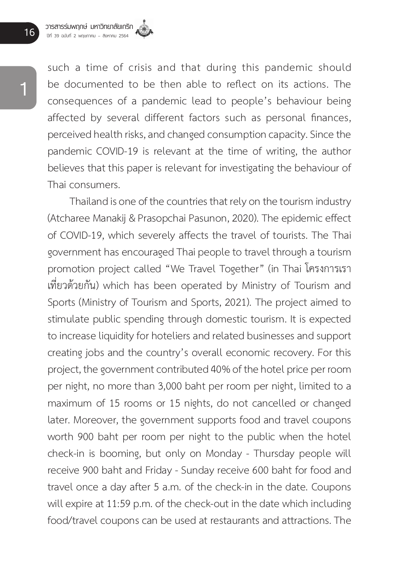such a time of crisis and that during this pandemic should be documented to be then able to reflect on its actions. The consequences of a pandemic lead to people's behaviour being affected by several different factors such as personal finances, perceived health risks, and changed consumption capacity. Since the pandemic COVID-19 is relevant at the time of writing, the author believes that this paper is relevant for investigating the behaviour of Thai consumers.

Thailand is one of the countries that rely on the tourism industry (Atcharee Manakij & Prasopchai Pasunon, 2020). The epidemic effect of COVID-19, which severely affects the travel of tourists. The Thai government has encouraged Thai people to travel through a tourism promotion project called "We Travel Together" (in Thai โครงการเรา เที่่�ยวด้้วยกััน) which has been operated by Ministry of Tourism and Sports (Ministry of Tourism and Sports, 2021). The project aimed to stimulate public spending through domestic tourism. It is expected to increase liquidity for hoteliers and related businesses and support creating jobs and the country's overall economic recovery. For this project, the government contributed 40% of the hotel price per room per night, no more than 3,000 baht per room per night, limited to a maximum of 15 rooms or 15 nights, do not cancelled or changed later. Moreover, the government supports food and travel coupons worth 900 baht per room per night to the public when the hotel check-in is booming, but only on Monday - Thursday people will receive 900 baht and Friday - Sunday receive 600 baht for food and travel once a day after 5 a.m. of the check-in in the date. Coupons will expire at 11:59 p.m. of the check-out in the date which including food/travel coupons can be used at restaurants and attractions. The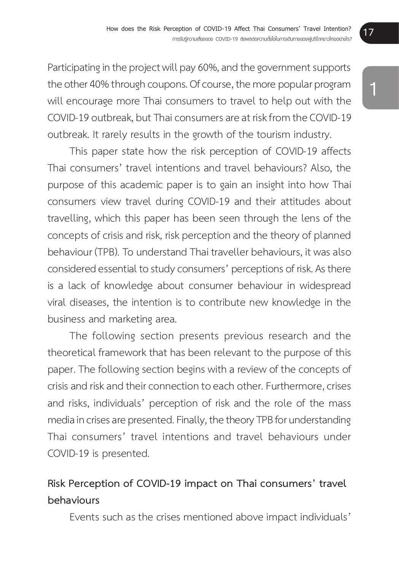Participating in the project will pay 60%, and the government supports the other 40% through coupons. Of course, the more popular program will encourage more Thai consumers to travel to help out with the COVID-19 outbreak, but Thai consumers are at risk from the COVID-19 outbreak. It rarely results in the growth of the tourism industry.

This paper state how the risk perception of COVID-19 affects Thai consumers' travel intentions and travel behaviours? Also, the purpose of this academic paper is to gain an insight into how Thai consumers view travel during COVID-19 and their attitudes about travelling, which this paper has been seen through the lens of the concepts of crisis and risk, risk perception and the theory of planned behaviour (TPB). To understand Thai traveller behaviours, it was also considered essential to study consumers' perceptions of risk. As there is a lack of knowledge about consumer behaviour in widespread viral diseases, the intention is to contribute new knowledge in the business and marketing area.

The following section presents previous research and the theoretical framework that has been relevant to the purpose of this paper. The following section begins with a review of the concepts of crisis and risk and their connection to each other. Furthermore, crises and risks, individuals' perception of risk and the role of the mass media in crises are presented. Finally, the theory TPB for understanding Thai consumers' travel intentions and travel behaviours under COVID-19 is presented.

#### **Risk Perception of COVID-19 impact on Thai consumers' travel behaviours**

Events such as the crises mentioned above impact individuals'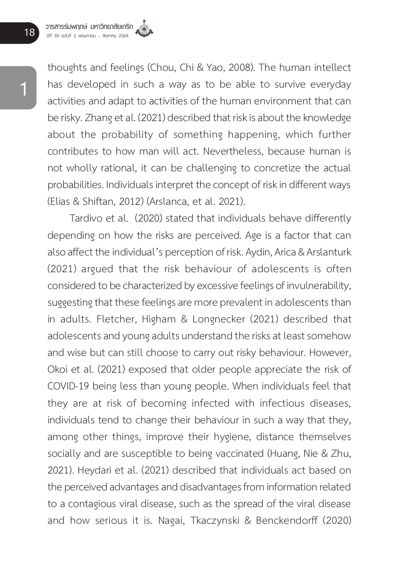thoughts and feelings (Chou, Chi & Yao, 2008). The human intellect has developed in such a way as to be able to survive everyday activities and adapt to activities of the human environment that can be risky. Zhang et al. (2021) described that risk is about the knowledge about the probability of something happening, which further contributes to how man will act. Nevertheless, because human is not wholly rational, it can be challenging to concretize the actual probabilities. Individuals interpret the concept of risk in different ways (Elias & Shiftan, 2012) (Arslanca, et al. 2021).

Tardivo et al. (2020) stated that individuals behave differently depending on how the risks are perceived. Age is a factor that can also affect the individual's perception of risk. Aydin, Arica & Arslanturk (2021) argued that the risk behaviour of adolescents is often considered to be characterized by excessive feelings of invulnerability, suggesting that these feelings are more prevalent in adolescents than in adults. Fletcher, Higham & Longnecker (2021) described that adolescents and young adults understand the risks at least somehow and wise but can still choose to carry out risky behaviour. However, Okoi et al. (2021) exposed that older people appreciate the risk of COVID-19 being less than young people. When individuals feel that they are at risk of becoming infected with infectious diseases, individuals tend to change their behaviour in such a way that they, among other things, improve their hygiene, distance themselves socially and are susceptible to being vaccinated (Huang, Nie & Zhu, 2021). Heydari et al. (2021) described that individuals act based on the perceived advantages and disadvantages from information related to a contagious viral disease, such as the spread of the viral disease and how serious it is. Nagai, Tkaczynski & Benckendorff (2020)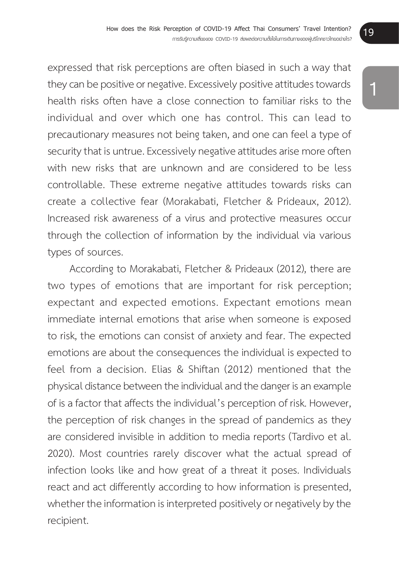expressed that risk perceptions are often biased in such a way that they can be positive or negative. Excessively positive attitudes towards health risks often have a close connection to familiar risks to the individual and over which one has control. This can lead to precautionary measures not being taken, and one can feel a type of security that is untrue. Excessively negative attitudes arise more often with new risks that are unknown and are considered to be less controllable. These extreme negative attitudes towards risks can create a collective fear (Morakabati, Fletcher & Prideaux, 2012). Increased risk awareness of a virus and protective measures occur through the collection of information by the individual via various types of sources.

According to Morakabati, Fletcher & Prideaux (2012), there are two types of emotions that are important for risk perception; expectant and expected emotions. Expectant emotions mean immediate internal emotions that arise when someone is exposed to risk, the emotions can consist of anxiety and fear. The expected emotions are about the consequences the individual is expected to feel from a decision. Elias & Shiftan (2012) mentioned that the physical distance between the individual and the danger is an example of is a factor that affects the individual's perception of risk. However, the perception of risk changes in the spread of pandemics as they are considered invisible in addition to media reports (Tardivo et al. 2020). Most countries rarely discover what the actual spread of infection looks like and how great of a threat it poses. Individuals react and act differently according to how information is presented, whether the information is interpreted positively or negatively by the recipient.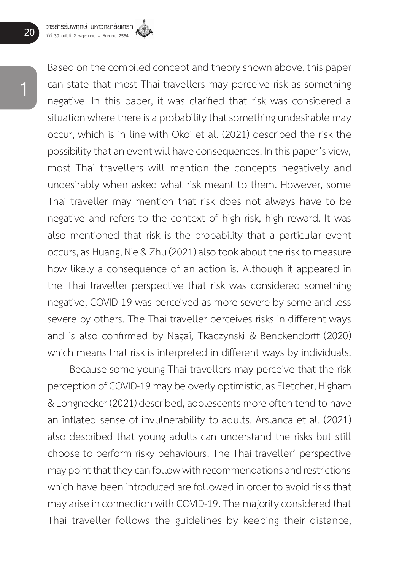**20 วารสารร่มพฤกษ์ มหาวิทยาลัยเกริก ปีที่ 39 ฉบับที่ 2 พฤษภาคม – สิงหาคม 2564**

> Based on the compiled concept and theory shown above, this paper can state that most Thai travellers may perceive risk as something negative. In this paper, it was clarified that risk was considered a situation where there is a probability that something undesirable may occur, which is in line with Okoi et al. (2021) described the risk the possibility that an event will have consequences. In this paper's view, most Thai travellers will mention the concepts negatively and undesirably when asked what risk meant to them. However, some Thai traveller may mention that risk does not always have to be negative and refers to the context of high risk, high reward. It was also mentioned that risk is the probability that a particular event occurs, as Huang, Nie & Zhu (2021) also took about the risk to measure how likely a consequence of an action is. Although it appeared in the Thai traveller perspective that risk was considered something negative, COVID-19 was perceived as more severe by some and less severe by others. The Thai traveller perceives risks in different ways and is also confirmed by Nagai, Tkaczynski & Benckendorff (2020) which means that risk is interpreted in different ways by individuals.

> Because some young Thai travellers may perceive that the risk perception of COVID-19 may be overly optimistic, as Fletcher, Higham & Longnecker (2021) described, adolescents more often tend to have an inflated sense of invulnerability to adults. Arslanca et al. (2021) also described that young adults can understand the risks but still choose to perform risky behaviours. The Thai traveller' perspective may point that they can follow with recommendations and restrictions which have been introduced are followed in order to avoid risks that may arise in connection with COVID-19. The majority considered that Thai traveller follows the guidelines by keeping their distance,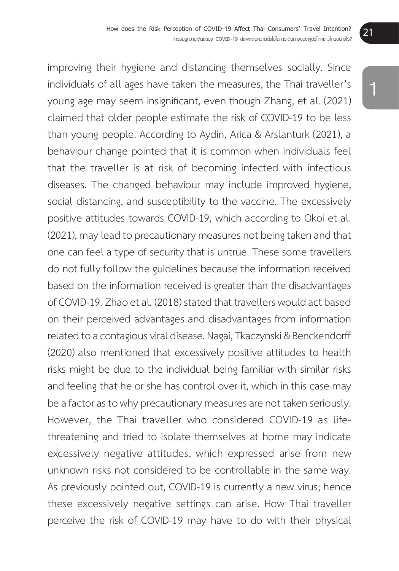improving their hygiene and distancing themselves socially. Since individuals of all ages have taken the measures, the Thai traveller's young age may seem insignificant, even though Zhang, et al. (2021) claimed that older people estimate the risk of COVID-19 to be less than young people. According to Aydin, Arica & Arslanturk (2021), a behaviour change pointed that it is common when individuals feel that the traveller is at risk of becoming infected with infectious diseases. The changed behaviour may include improved hygiene, social distancing, and susceptibility to the vaccine. The excessively positive attitudes towards COVID-19, which according to Okoi et al. (2021), may lead to precautionary measures not being taken and that one can feel a type of security that is untrue. These some travellers do not fully follow the guidelines because the information received based on the information received is greater than the disadvantages of COVID-19. Zhao et al. (2018) stated that travellers would act based on their perceived advantages and disadvantages from information related to a contagious viral disease. Nagai, Tkaczynski & Benckendorff (2020) also mentioned that excessively positive attitudes to health risks might be due to the individual being familiar with similar risks and feeling that he or she has control over it, which in this case may be a factor as to why precautionary measures are not taken seriously. However, the Thai traveller who considered COVID-19 as lifethreatening and tried to isolate themselves at home may indicate excessively negative attitudes, which expressed arise from new unknown risks not considered to be controllable in the same way. As previously pointed out, COVID-19 is currently a new virus; hence these excessively negative settings can arise. How Thai traveller perceive the risk of COVID-19 may have to do with their physical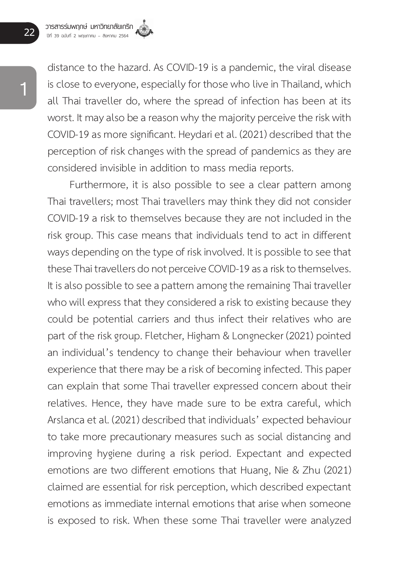**22 วารสารร่มพฤกษ์ มหาวิทยาลัยเกริก ปีที่ 39 ฉบับที่ 2 พฤษภาคม – สิงหาคม 2564**

> distance to the hazard. As COVID-19 is a pandemic, the viral disease is close to everyone, especially for those who live in Thailand, which all Thai traveller do, where the spread of infection has been at its worst. It may also be a reason why the majority perceive the risk with COVID-19 as more significant. Heydari et al. (2021) described that the perception of risk changes with the spread of pandemics as they are considered invisible in addition to mass media reports.

> Furthermore, it is also possible to see a clear pattern among Thai travellers; most Thai travellers may think they did not consider COVID-19 a risk to themselves because they are not included in the risk group. This case means that individuals tend to act in different ways depending on the type of risk involved. It is possible to see that these Thai travellers do not perceive COVID-19 as a risk to themselves. It is also possible to see a pattern among the remaining Thai traveller who will express that they considered a risk to existing because they could be potential carriers and thus infect their relatives who are part of the risk group. Fletcher, Higham & Longnecker (2021) pointed an individual's tendency to change their behaviour when traveller experience that there may be a risk of becoming infected. This paper can explain that some Thai traveller expressed concern about their relatives. Hence, they have made sure to be extra careful, which Arslanca et al. (2021) described that individuals' expected behaviour to take more precautionary measures such as social distancing and improving hygiene during a risk period. Expectant and expected emotions are two different emotions that Huang, Nie & Zhu (2021) claimed are essential for risk perception, which described expectant emotions as immediate internal emotions that arise when someone is exposed to risk. When these some Thai traveller were analyzed

**1**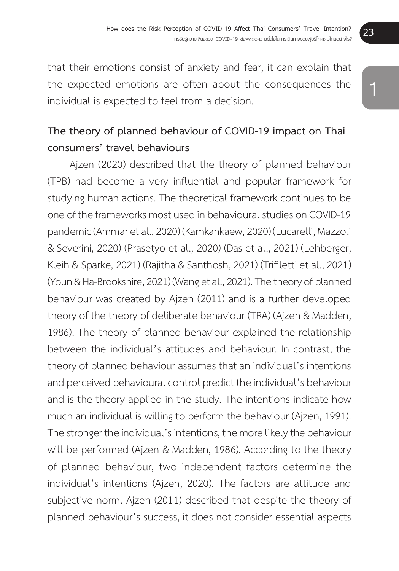that their emotions consist of anxiety and fear, it can explain that the expected emotions are often about the consequences the individual is expected to feel from a decision.

### **The theory of planned behaviour of COVID-19 impact on Thai consumers' travel behaviours**

Ajzen (2020) described that the theory of planned behaviour (TPB) had become a very influential and popular framework for studying human actions. The theoretical framework continues to be one of the frameworks most used in behavioural studies on COVID-19 pandemic (Ammar et al., 2020) (Kamkankaew, 2020) (Lucarelli, Mazzoli & Severini, 2020) (Prasetyo et al., 2020) (Das et al., 2021) (Lehberger, Kleih & Sparke, 2021) (Rajitha & Santhosh, 2021) (Trifiletti et al., 2021) (Youn & Ha-Brookshire, 2021) (Wang et al., 2021). The theory of planned behaviour was created by Ajzen (2011) and is a further developed theory of the theory of deliberate behaviour (TRA) (Ajzen & Madden, 1986). The theory of planned behaviour explained the relationship between the individual's attitudes and behaviour. In contrast, the theory of planned behaviour assumes that an individual's intentions and perceived behavioural control predict the individual's behaviour and is the theory applied in the study. The intentions indicate how much an individual is willing to perform the behaviour (Ajzen, 1991). The stronger the individual's intentions, the more likely the behaviour will be performed (Ajzen & Madden, 1986). According to the theory of planned behaviour, two independent factors determine the individual's intentions (Ajzen, 2020). The factors are attitude and subjective norm. Ajzen (2011) described that despite the theory of planned behaviour's success, it does not consider essential aspects

**1**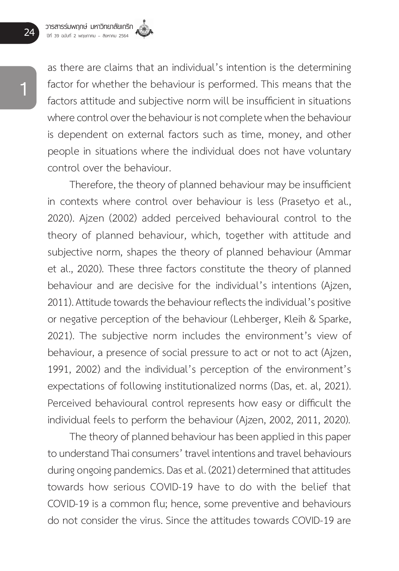as there are claims that an individual's intention is the determining factor for whether the behaviour is performed. This means that the factors attitude and subjective norm will be insufficient in situations where control over the behaviour is not complete when the behaviour is dependent on external factors such as time, money, and other people in situations where the individual does not have voluntary control over the behaviour.

Therefore, the theory of planned behaviour may be insufficient in contexts where control over behaviour is less (Prasetyo et al., 2020). Ajzen (2002) added perceived behavioural control to the theory of planned behaviour, which, together with attitude and subjective norm, shapes the theory of planned behaviour (Ammar et al., 2020). These three factors constitute the theory of planned behaviour and are decisive for the individual's intentions (Ajzen, 2011). Attitude towards the behaviour reflects the individual's positive or negative perception of the behaviour (Lehberger, Kleih & Sparke, 2021). The subjective norm includes the environment's view of behaviour, a presence of social pressure to act or not to act (Ajzen, 1991, 2002) and the individual's perception of the environment's expectations of following institutionalized norms (Das, et. al, 2021). Perceived behavioural control represents how easy or difficult the individual feels to perform the behaviour (Ajzen, 2002, 2011, 2020).

The theory of planned behaviour has been applied in this paper to understand Thai consumers' travel intentions and travel behaviours during ongoing pandemics. Das et al. (2021) determined that attitudes towards how serious COVID-19 have to do with the belief that COVID-19 is a common flu; hence, some preventive and behaviours do not consider the virus. Since the attitudes towards COVID-19 are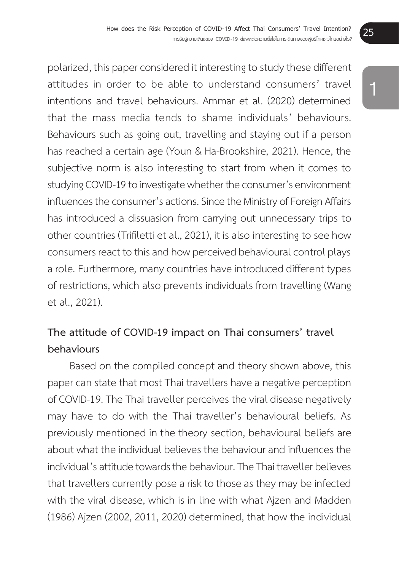polarized, this paper considered it interesting to study these different attitudes in order to be able to understand consumers' travel intentions and travel behaviours. Ammar et al. (2020) determined that the mass media tends to shame individuals' behaviours. Behaviours such as going out, travelling and staying out if a person has reached a certain age (Youn & Ha-Brookshire, 2021). Hence, the subjective norm is also interesting to start from when it comes to studying COVID-19 to investigate whether the consumer's environment influences the consumer's actions. Since the Ministry of Foreign Affairs has introduced a dissuasion from carrying out unnecessary trips to other countries (Trifiletti et al., 2021), it is also interesting to see how consumers react to this and how perceived behavioural control plays a role. Furthermore, many countries have introduced different types of restrictions, which also prevents individuals from travelling (Wang et al., 2021).

### **The attitude of COVID-19 impact on Thai consumers' travel behaviours**

Based on the compiled concept and theory shown above, this paper can state that most Thai travellers have a negative perception of COVID-19. The Thai traveller perceives the viral disease negatively may have to do with the Thai traveller's behavioural beliefs. As previously mentioned in the theory section, behavioural beliefs are about what the individual believes the behaviour and influences the individual's attitude towards the behaviour. The Thai traveller believes that travellers currently pose a risk to those as they may be infected with the viral disease, which is in line with what Ajzen and Madden (1986) Ajzen (2002, 2011, 2020) determined, that how the individual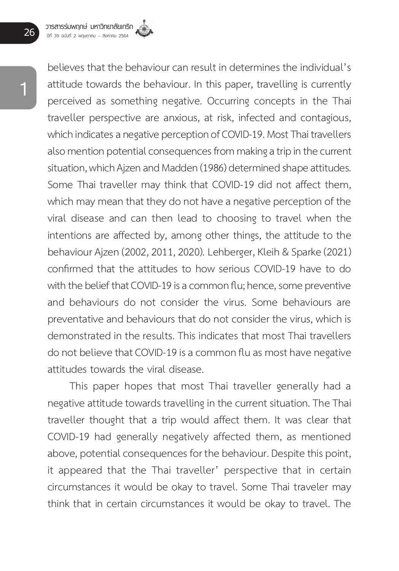believes that the behaviour can result in determines the individual's attitude towards the behaviour. In this paper, travelling is currently perceived as something negative. Occurring concepts in the Thai traveller perspective are anxious, at risk, infected and contagious, which indicates a negative perception of COVID-19. Most Thai travellers also mention potential consequences from making a trip in the current situation, which Ajzen and Madden (1986) determined shape attitudes. Some Thai traveller may think that COVID-19 did not affect them, which may mean that they do not have a negative perception of the viral disease and can then lead to choosing to travel when the intentions are affected by, among other things, the attitude to the behaviour Ajzen (2002, 2011, 2020). Lehberger, Kleih & Sparke (2021) confirmed that the attitudes to how serious COVID-19 have to do with the belief that COVID-19 is a common flu; hence, some preventive and behaviours do not consider the virus. Some behaviours are preventative and behaviours that do not consider the virus, which is demonstrated in the results. This indicates that most Thai travellers do not believe that COVID-19 is a common flu as most have negative attitudes towards the viral disease.

This paper hopes that most Thai traveller generally had a negative attitude towards travelling in the current situation. The Thai traveller thought that a trip would affect them. It was clear that COVID-19 had generally negatively affected them, as mentioned above, potential consequences for the behaviour. Despite this point, it appeared that the Thai traveller' perspective that in certain circumstances it would be okay to travel. Some Thai traveler may think that in certain circumstances it would be okay to travel. The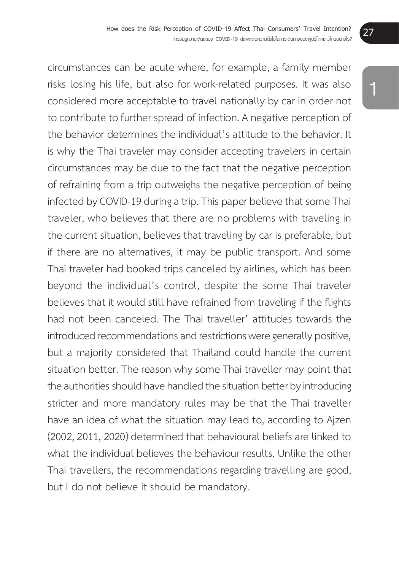circumstances can be acute where, for example, a family member risks losing his life, but also for work-related purposes. It was also considered more acceptable to travel nationally by car in order not to contribute to further spread of infection. A negative perception of the behavior determines the individual's attitude to the behavior. It is why the Thai traveler may consider accepting travelers in certain circumstances may be due to the fact that the negative perception of refraining from a trip outweighs the negative perception of being infected by COVID-19 during a trip. This paper believe that some Thai traveler, who believes that there are no problems with traveling in the current situation, believes that traveling by car is preferable, but if there are no alternatives, it may be public transport. And some Thai traveler had booked trips canceled by airlines, which has been beyond the individual's control, despite the some Thai traveler believes that it would still have refrained from traveling if the flights had not been canceled. The Thai traveller' attitudes towards the introduced recommendations and restrictions were generally positive, but a majority considered that Thailand could handle the current situation better. The reason why some Thai traveller may point that the authorities should have handled the situation better by introducing stricter and more mandatory rules may be that the Thai traveller have an idea of what the situation may lead to, according to Ajzen (2002, 2011, 2020) determined that behavioural beliefs are linked to what the individual believes the behaviour results. Unlike the other Thai travellers, the recommendations regarding travelling are good, but I do not believe it should be mandatory.

**1**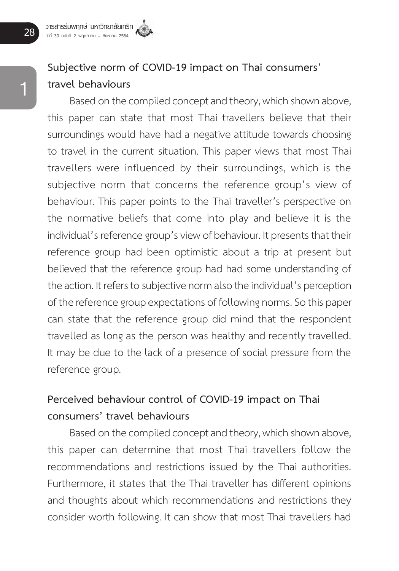### **Subjective norm of COVID-19 impact on Thai consumers' travel behaviours**

Based on the compiled concept and theory, which shown above, this paper can state that most Thai travellers believe that their surroundings would have had a negative attitude towards choosing to travel in the current situation. This paper views that most Thai travellers were influenced by their surroundings, which is the subjective norm that concerns the reference group's view of behaviour. This paper points to the Thai traveller's perspective on the normative beliefs that come into play and believe it is the individual's reference group's view of behaviour. It presents that their reference group had been optimistic about a trip at present but believed that the reference group had had some understanding of the action. It refers to subjective norm also the individual's perception of the reference group expectations of following norms. So this paper can state that the reference group did mind that the respondent travelled as long as the person was healthy and recently travelled. It may be due to the lack of a presence of social pressure from the reference group.

### **Perceived behaviour control of COVID-19 impact on Thai consumers' travel behaviours**

Based on the compiled concept and theory, which shown above, this paper can determine that most Thai travellers follow the recommendations and restrictions issued by the Thai authorities. Furthermore, it states that the Thai traveller has different opinions and thoughts about which recommendations and restrictions they consider worth following. It can show that most Thai travellers had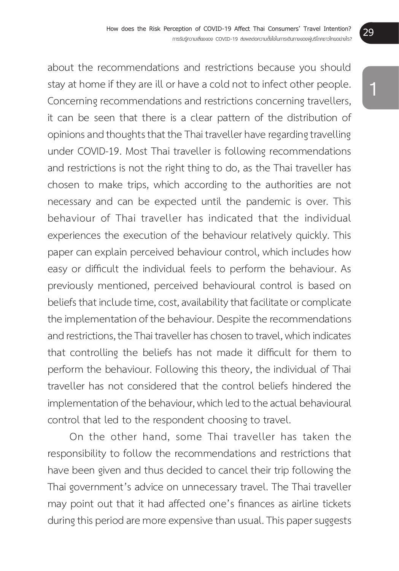about the recommendations and restrictions because you should stay at home if they are ill or have a cold not to infect other people. Concerning recommendations and restrictions concerning travellers, it can be seen that there is a clear pattern of the distribution of opinions and thoughts that the Thai traveller have regarding travelling under COVID-19. Most Thai traveller is following recommendations and restrictions is not the right thing to do, as the Thai traveller has chosen to make trips, which according to the authorities are not necessary and can be expected until the pandemic is over. This behaviour of Thai traveller has indicated that the individual experiences the execution of the behaviour relatively quickly. This paper can explain perceived behaviour control, which includes how easy or difficult the individual feels to perform the behaviour. As previously mentioned, perceived behavioural control is based on beliefs that include time, cost, availability that facilitate or complicate the implementation of the behaviour. Despite the recommendations and restrictions, the Thai traveller has chosen to travel, which indicates that controlling the beliefs has not made it difficult for them to perform the behaviour. Following this theory, the individual of Thai traveller has not considered that the control beliefs hindered the implementation of the behaviour, which led to the actual behavioural control that led to the respondent choosing to travel.

On the other hand, some Thai traveller has taken the responsibility to follow the recommendations and restrictions that have been given and thus decided to cancel their trip following the Thai government's advice on unnecessary travel. The Thai traveller may point out that it had affected one's finances as airline tickets during this period are more expensive than usual. This paper suggests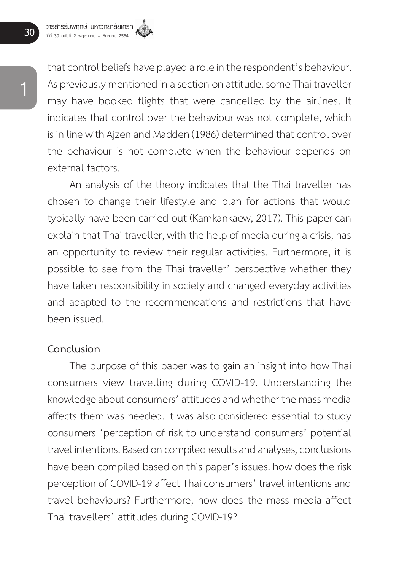that control beliefs have played a role in the respondent's behaviour. As previously mentioned in a section on attitude, some Thai traveller may have booked flights that were cancelled by the airlines. It indicates that control over the behaviour was not complete, which is in line with Ajzen and Madden (1986) determined that control over the behaviour is not complete when the behaviour depends on external factors.

An analysis of the theory indicates that the Thai traveller has chosen to change their lifestyle and plan for actions that would typically have been carried out (Kamkankaew, 2017). This paper can explain that Thai traveller, with the help of media during a crisis, has an opportunity to review their regular activities. Furthermore, it is possible to see from the Thai traveller' perspective whether they have taken responsibility in society and changed everyday activities and adapted to the recommendations and restrictions that have been issued.

#### **Conclusion**

The purpose of this paper was to gain an insight into how Thai consumers view travelling during COVID-19. Understanding the knowledge about consumers' attitudes and whether the mass media affects them was needed. It was also considered essential to study consumers 'perception of risk to understand consumers' potential travel intentions. Based on compiled results and analyses, conclusions have been compiled based on this paper's issues: how does the risk perception of COVID-19 affect Thai consumers' travel intentions and travel behaviours? Furthermore, how does the mass media affect Thai travellers' attitudes during COVID-19?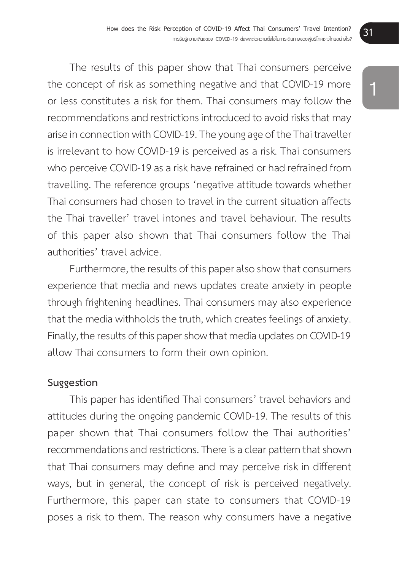The results of this paper show that Thai consumers perceive the concept of risk as something negative and that COVID-19 more or less constitutes a risk for them. Thai consumers may follow the recommendations and restrictions introduced to avoid risks that may arise in connection with COVID-19. The young age of the Thai traveller is irrelevant to how COVID-19 is perceived as a risk. Thai consumers who perceive COVID-19 as a risk have refrained or had refrained from travelling. The reference groups 'negative attitude towards whether Thai consumers had chosen to travel in the current situation affects the Thai traveller' travel intones and travel behaviour. The results of this paper also shown that Thai consumers follow the Thai authorities' travel advice.

Furthermore, the results of this paper also show that consumers experience that media and news updates create anxiety in people through frightening headlines. Thai consumers may also experience that the media withholds the truth, which creates feelings of anxiety. Finally, the results of this paper show that media updates on COVID-19 allow Thai consumers to form their own opinion.

#### **Suggestion**

 This paper has identified Thai consumers' travel behaviors and attitudes during the ongoing pandemic COVID-19. The results of this paper shown that Thai consumers follow the Thai authorities' recommendations and restrictions. There is a clear pattern that shown that Thai consumers may define and may perceive risk in different ways, but in general, the concept of risk is perceived negatively. Furthermore, this paper can state to consumers that COVID-19 poses a risk to them. The reason why consumers have a negative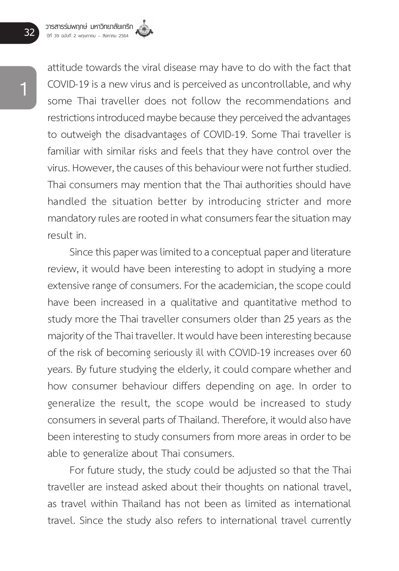attitude towards the viral disease may have to do with the fact that COVID-19 is a new virus and is perceived as uncontrollable, and why some Thai traveller does not follow the recommendations and restrictions introduced maybe because they perceived the advantages to outweigh the disadvantages of COVID-19. Some Thai traveller is familiar with similar risks and feels that they have control over the virus. However, the causes of this behaviour were not further studied. Thai consumers may mention that the Thai authorities should have handled the situation better by introducing stricter and more mandatory rules are rooted in what consumers fear the situation may result in.

Since this paper was limited to a conceptual paper and literature review, it would have been interesting to adopt in studying a more extensive range of consumers. For the academician, the scope could have been increased in a qualitative and quantitative method to study more the Thai traveller consumers older than 25 years as the majority of the Thai traveller. It would have been interesting because of the risk of becoming seriously ill with COVID-19 increases over 60 years. By future studying the elderly, it could compare whether and how consumer behaviour differs depending on age. In order to generalize the result, the scope would be increased to study consumers in several parts of Thailand. Therefore, it would also have been interesting to study consumers from more areas in order to be able to generalize about Thai consumers.

For future study, the study could be adjusted so that the Thai traveller are instead asked about their thoughts on national travel, as travel within Thailand has not been as limited as international travel. Since the study also refers to international travel currently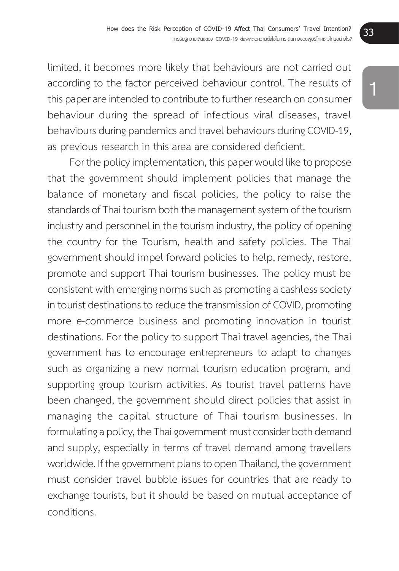limited, it becomes more likely that behaviours are not carried out according to the factor perceived behaviour control. The results of this paper are intended to contribute to further research on consumer behaviour during the spread of infectious viral diseases, travel behaviours during pandemics and travel behaviours during COVID-19, as previous research in this area are considered deficient.

For the policy implementation, this paper would like to propose that the government should implement policies that manage the balance of monetary and fiscal policies, the policy to raise the standards of Thai tourism both the management system of the tourism industry and personnel in the tourism industry, the policy of opening the country for the Tourism, health and safety policies. The Thai government should impel forward policies to help, remedy, restore, promote and support Thai tourism businesses. The policy must be consistent with emerging norms such as promoting a cashless society in tourist destinations to reduce the transmission of COVID, promoting more e-commerce business and promoting innovation in tourist destinations. For the policy to support Thai travel agencies, the Thai government has to encourage entrepreneurs to adapt to changes such as organizing a new normal tourism education program, and supporting group tourism activities. As tourist travel patterns have been changed, the government should direct policies that assist in managing the capital structure of Thai tourism businesses. In formulating a policy, the Thai government must consider both demand and supply, especially in terms of travel demand among travellers worldwide. If the government plans to open Thailand, the government must consider travel bubble issues for countries that are ready to exchange tourists, but it should be based on mutual acceptance of conditions.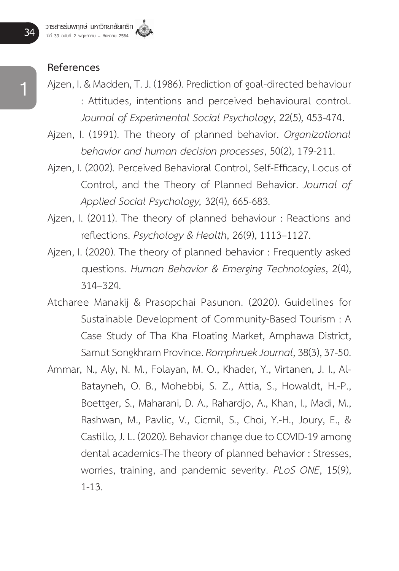#### **References**

- Ajzen, I. & Madden, T. J. (1986). Prediction of goal-directed behaviour : Attitudes, intentions and perceived behavioural control. *Journal of Experimental Social Psychology*, 22(5), 453-474.
- Ajzen, I. (1991). The theory of planned behavior. *Organizational behavior and human decision processes*, 50(2), 179-211.
- Ajzen, I. (2002). Perceived Behavioral Control, Self-Efficacy, Locus of Control, and the Theory of Planned Behavior. *Journal of Applied Social Psychology,* 32(4), 665-683.
- Ajzen, I. (2011). The theory of planned behaviour : Reactions and reflections. *Psychology & Health*, 26(9), 1113–1127.
- Ajzen, I. (2020). The theory of planned behavior : Frequently asked questions. *Human Behavior & Emerging Technologies*, 2(4), 314–324.
- Atcharee Manakij & Prasopchai Pasunon. (2020). Guidelines for Sustainable Development of Community-Based Tourism : A Case Study of Tha Kha Floating Market, Amphawa District, Samut Songkhram Province. *Romphruek Journal*, 38(3), 37-50.
- Ammar, N., Aly, N. M., Folayan, M. O., Khader, Y., Virtanen, J. I., Al-Batayneh, O. B., Mohebbi, S. Z., Attia, S., Howaldt, H.-P., Boettger, S., Maharani, D. A., Rahardjo, A., Khan, I., Madi, M., Rashwan, M., Pavlic, V., Cicmil, S., Choi, Y.-H., Joury, E., & Castillo, J. L. (2020). Behavior change due to COVID-19 among dental academics-The theory of planned behavior : Stresses, worries, training, and pandemic severity. *PLoS ONE*, 15(9), 1-13.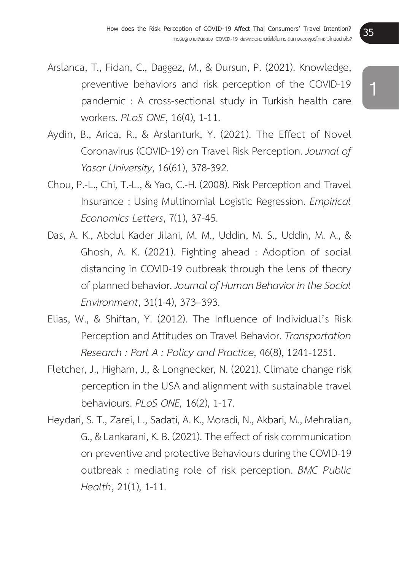- Arslanca, T., Fidan, C., Daggez, M., & Dursun, P. (2021). Knowledge, preventive behaviors and risk perception of the COVID-19 pandemic : A cross-sectional study in Turkish health care workers. *PLoS ONE*, 16(4), 1-11.
- Aydin, B., Arica, R., & Arslanturk, Y. (2021). The Effect of Novel Coronavirus (COVID-19) on Travel Risk Perception. *Journal of Yasar University*, 16(61), 378-392.
- Chou, P.-L., Chi, T.-L., & Yao, C.-H. (2008). Risk Perception and Travel Insurance : Using Multinomial Logistic Regression. *Empirical Economics Letters*, 7(1), 37-45.
- Das, A. K., Abdul Kader Jilani, M. M., Uddin, M. S., Uddin, M. A., & Ghosh, A. K. (2021). Fighting ahead : Adoption of social distancing in COVID-19 outbreak through the lens of theory of planned behavior. *Journal of Human Behavior in the Social Environment*, 31(1-4), 373–393.
- Elias, W., & Shiftan, Y. (2012). The Influence of Individual's Risk Perception and Attitudes on Travel Behavior. *Transportation Research : Part A : Policy and Practice*, 46(8), 1241-1251.
- Fletcher, J., Higham, J., & Longnecker, N. (2021). Climate change risk perception in the USA and alignment with sustainable travel behaviours. *PLoS ONE,* 16(2), 1-17.
- Heydari, S. T., Zarei, L., Sadati, A. K., Moradi, N., Akbari, M., Mehralian, G., & Lankarani, K. B. (2021). The effect of risk communication on preventive and protective Behaviours during the COVID-19 outbreak : mediating role of risk perception. *BMC Public Health*, 21(1), 1-11.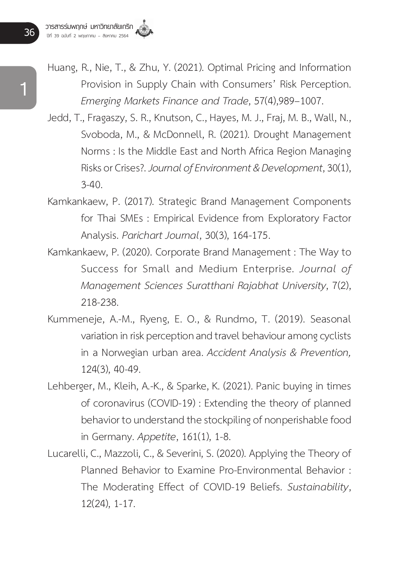- Huang, R., Nie, T., & Zhu, Y. (2021). Optimal Pricing and Information Provision in Supply Chain with Consumers' Risk Perception. *Emerging Markets Finance and Trade*, 57(4),989–1007.
- Jedd, T., Fragaszy, S. R., Knutson, C., Hayes, M. J., Fraj, M. B., Wall, N., Svoboda, M., & McDonnell, R. (2021). Drought Management Norms : Is the Middle East and North Africa Region Managing Risks or Crises?. *Journal of Environment & Development*, 30(1),  $3 - 40.$
- Kamkankaew, P. (2017). Strategic Brand Management Components for Thai SMEs : Empirical Evidence from Exploratory Factor Analysis. *Parichart Journal*, 30(3), 164-175.
- Kamkankaew, P. (2020). Corporate Brand Management : The Way to Success for Small and Medium Enterprise. *Journal of Management Sciences Suratthani Rajabhat University*, 7(2), 218-238.
- Kummeneje, A.-M., Ryeng, E. O., & Rundmo, T. (2019). Seasonal variation in risk perception and travel behaviour among cyclists in a Norwegian urban area. *Accident Analysis & Prevention,*  124(3), 40-49.
- Lehberger, M., Kleih, A.-K., & Sparke, K. (2021). Panic buying in times of coronavirus (COVID-19) : Extending the theory of planned behavior to understand the stockpiling of nonperishable food in Germany. *Appetite*, 161(1), 1-8.
- Lucarelli, C., Mazzoli, C., & Severini, S. (2020). Applying the Theory of Planned Behavior to Examine Pro-Environmental Behavior : The Moderating Effect of COVID-19 Beliefs. *Sustainability*, 12(24), 1-17.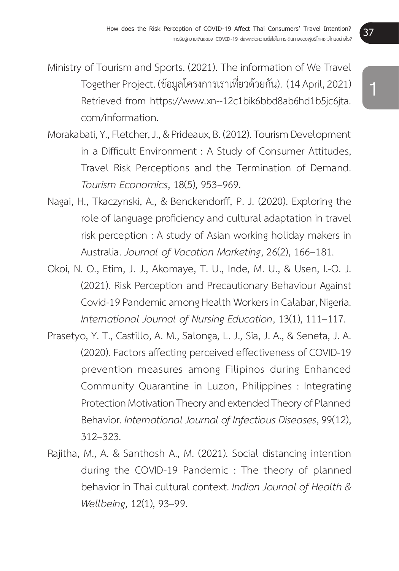- Ministry of Tourism and Sports. (2021). The information of We Travel Together Project. (ข้อมูลโครงการเราเที่ยวด้วยกัน). (14 April, 2021) Retrieved from https://www.xn--12c1bik6bbd8ab6hd1b5jc6jta. com/information.
- Morakabati, Y., Fletcher, J., & Prideaux, B. (2012). Tourism Development in a Difficult Environment : A Study of Consumer Attitudes, Travel Risk Perceptions and the Termination of Demand. *Tourism Economics*, 18(5), 953–969.
- Nagai, H., Tkaczynski, A., & Benckendorff, P. J. (2020). Exploring the role of language proficiency and cultural adaptation in travel risk perception : A study of Asian working holiday makers in Australia. *Journal of Vacation Marketing*, 26(2), 166–181.
- Okoi, N. O., Etim, J. J., Akomaye, T. U., Inde, M. U., & Usen, I.-O. J. (2021). Risk Perception and Precautionary Behaviour Against Covid-19 Pandemic among Health Workers in Calabar, Nigeria. *International Journal of Nursing Education*, 13(1), 111–117.
- Prasetyo, Y. T., Castillo, A. M., Salonga, L. J., Sia, J. A., & Seneta, J. A. (2020). Factors affecting perceived effectiveness of COVID-19 prevention measures among Filipinos during Enhanced Community Quarantine in Luzon, Philippines : Integrating Protection Motivation Theory and extended Theory of Planned Behavior. *International Journal of Infectious Diseases*, 99(12), 312–323.
- Rajitha, M., A. & Santhosh A., M. (2021). Social distancing intention during the COVID-19 Pandemic : The theory of planned behavior in Thai cultural context. *Indian Journal of Health & Wellbeing*, 12(1), 93–99.